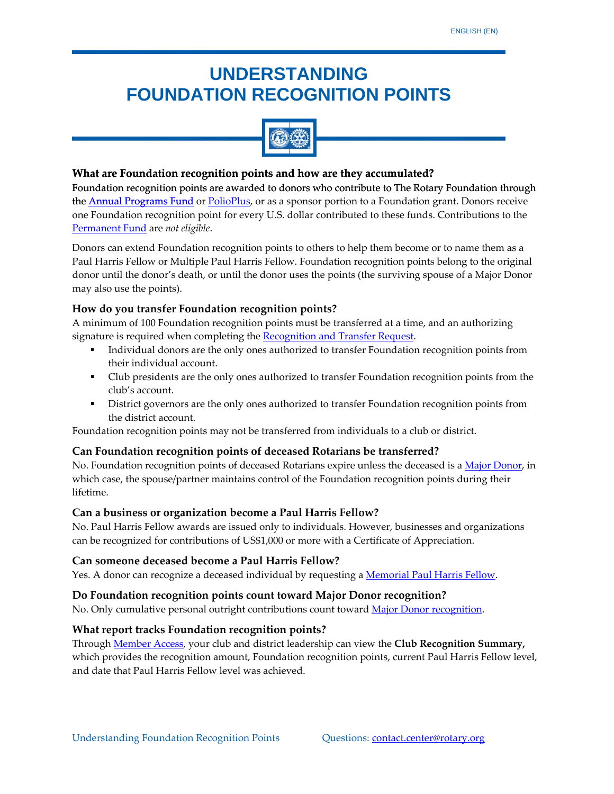# **UNDERSTANDING FOUNDATION RECOGNITION POINTS**



## **What** are Foundation recognition points and how are they accumulated?

[Foundation](http://www.rotary.org/en/Contribute/Funds/AnnualProgramsFund/Pages/ridefault.aspx) recognition points are awarded to donors who contribute to The Rotary Foundation through Foundation**[the](http://www.rotary.org/en/Contribute/Funds/AnnualProgramsFund/Pages/ridefault.aspx) <u>Annual [Programs](http://www.rotary.org/en/Contribute/Funds/AnnualProgramsFund/Pages/ridefault.aspx) Fund</u> [or](http://www.rotary.org/en/Contribute/Funds/PolioPlusFund/Pages/ridefault.aspx)** <u>PolioPlus</u>, or as a sponsor portion to a [Foundation](http://www.rotary.org/en/Contribute/Funds/PermanentFund/Pages/ridefault.aspx) grant. Donors receive one Foundation recognition point for every U.S. dollar contributed to these funds. [Contributions](http://www.rotary.org/en/Contribute/Funds/PermanentFund/Pages/ridefault.aspx) to the Permanent Fund are *not [eligible](http://www.rotary.org/en/Contribute/Funds/PermanentFund/Pages/ridefault.aspx)*.

Donors can extend Foundation recognition points to others to help them become or to name them as a Paul Harris Fellow or Multiple Paul Harris Fellow. Foundation recognition points belong to the original donor until the donor's death, or until the donor uses the points (the surviving spouse of a Major Donor may also use the points).

## **How do you transfer Foundation recognition points?**

A minimum of 100 Foundation recognition points must be transferred at a time, and an authorizing signature is required when completing the [Recognition](http://www.rotary.org/RIdocuments/en_pdf/102en.pdf) and Transfer Request.

- Individual donors are the only ones authorized to transfer Foundation recognition points from their individual account.
- **•** Club presidents are the only ones authorized to transfer Foundation recognition points from the club's account.
- **District governors are the only ones authorized to transfer Foundation recognition points from** the district account.

Foundation recognition points may not be transferred from individuals to a club or district.

### **Can Foundation recognition points of deceased Rotarians be transferred?**

No. Foundation recognition points of deceased Rotarians expire unless the deceased is a Major [Donor,](http://www.rotary.org/en/contribute/donorrecognition/IndividualRecognition/Pages/ridefault.aspx) in which case, the spouse/partner maintains control of the Foundation recognition points during their lifetime.

### **Can a business or organization become a Paul Harris Fellow?**

No. Paul Harris Fellow awards are issued only to individuals. However, businesses and organizations can be recognized for contributions of US\$1,000 or more with a Certificate of Appreciation.

#### **Can someone deceased become a Paul Harris Fellow?**

Yes. A donor can recognize a deceased individual by requesting a [Memorial](http://www.rotary.org/en/contribute/waystogive/memorial_tribute_gifts/Pages/ridefault.aspx) Paul Harris Fellow.

#### **Do Foundation recognition points count toward Major Donor recognition?**

No. Only cumulative personal outright contributions count toward Major Donor [recognition.](http://www.rotary.org/en/contribute/donorrecognition/IndividualRecognition/Pages/ridefault.aspx)

#### **What report tracks Foundation recognition points?**

Through [Member](http://www.rotary.org/en/selfservice/Pages/login.aspx) Access, your club and district leadership can view the **Club Recognition Summary,** which provides the recognition amount, Foundation recognition points, current Paul Harris Fellow level, and date that Paul Harris Fellow level was achieved.